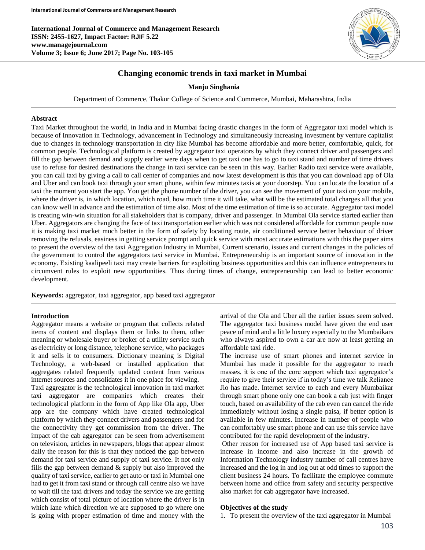**International Journal of Commerce and Management Research ISSN: 2455-1627, Impact Factor: RJIF 5.22 www.managejournal.com Volume 3; Issue 6; June 2017; Page No. 103-105**



# **Changing economic trends in taxi market in Mumbai**

## **Manju Singhania**

Department of Commerce, Thakur College of Science and Commerce, Mumbai, Maharashtra, India

#### **Abstract**

Taxi Market throughout the world, in India and in Mumbai facing drastic changes in the form of Aggregator taxi model which is because of Innovation in Technology, advancement in Technology and simultaneously increasing investment by venture capitalist due to changes in technology transportation in city like Mumbai has become affordable and more better, comfortable, quick, for common people. Technological platform is created by aggregator taxi operators by which they connect driver and passengers and fill the gap between demand and supply earlier were days when to get taxi one has to go to taxi stand and number of time drivers use to refuse for desired destinations the change in taxi service can be seen in this way. Earlier Radio taxi service were available, you can call taxi by giving a call to call center of companies and now latest development is this that you can download app of Ola and Uber and can book taxi through your smart phone, within few minutes taxis at your doorstep. You can locate the location of a taxi the moment you start the app. You get the phone number of the driver, you can see the movement of your taxi on your mobile, where the driver is, in which location, which road, how much time it will take, what will be the estimated total charges all that you can know well in advance and the estimation of time also. Most of the time estimation of time is so accurate. Aggregator taxi model is creating win-win situation for all stakeholders that is company, driver and passenger. In Mumbai Ola service started earlier than Uber. Aggregators are changing the face of taxi transportation earlier which was not considered affordable for common people now it is making taxi market much better in the form of safety by locating route, air conditioned service better behaviour of driver removing the refusals, easiness in getting service prompt and quick service with most accurate estimations with this the paper aims to present the overview of the taxi Aggregation Industry in Mumbai, Current scenario, issues and current changes in the policies of the government to control the aggregators taxi service in Mumbai. Entrepreneurship is an important source of innovation in the economy. Existing kaalipeeli taxi may create barriers for exploiting business opportunities and this can influence entrepreneurs to circumvent rules to exploit new opportunities. Thus during times of change, entrepreneurship can lead to better economic development.

**Keywords:** aggregator, taxi aggregator, app based taxi aggregator

#### **Introduction**

Aggregator means a website or program that collects related items of content and displays them or links to them, other meaning or wholesale buyer or broker of a utility service such as electricity or long distance, telephone service, who packages it and sells it to consumers. Dictionary meaning is Digital Technology, a web-based or installed application that aggregates related frequently updated content from various internet sources and consolidates it in one place for viewing. Taxi aggregator is the technological innovation in taxi market taxi aggregator are companies which creates their

technological platform in the form of App like Ola app, Uber app are the company which have created technological platform by which they connect drivers and passengers and for the connectivity they get commission from the driver. The impact of the cab aggregator can be seen from advertisement on television, articles in newspapers, blogs that appear almost daily the reason for this is that they noticed the gap between demand for taxi service and supply of taxi service. It not only fills the gap between demand  $\&$  supply but also improved the quality of taxi service, earlier to get auto or taxi in Mumbai one had to get it from taxi stand or through call centre also we have to wait till the taxi drivers and today the service we are getting which consist of total picture of location where the driver is in which lane which direction we are supposed to go where one is going with proper estimation of time and money with the arrival of the Ola and Uber all the earlier issues seem solved. The aggregator taxi business model have given the end user peace of mind and a little luxury especially to the Mumbaikars who always aspired to own a car are now at least getting an affordable taxi ride.

The increase use of smart phones and internet service in Mumbai has made it possible for the aggregator to reach masses, it is one of the core support which taxi aggregator's require to give their service if in today's time we talk Reliance Jio has made. Internet service to each and every Mumbaikar through smart phone only one can book a cab just with finger touch, based on availability of the cab even can cancel the ride immediately without losing a single paisa, if better option is available in few minutes. Increase in number of people who can comfortably use smart phone and can use this service have contributed for the rapid development of the industry.

Other reason for increased use of App based taxi service is increase in income and also increase in the growth of Information Technology industry number of call centres have increased and the log in and log out at odd times to support the client business 24 hours. To facilitate the employee commute between home and office from safety and security perspective also market for cab aggregator have increased.

#### **Objectives of the study**

1. To present the overview of the taxi aggregator in Mumbai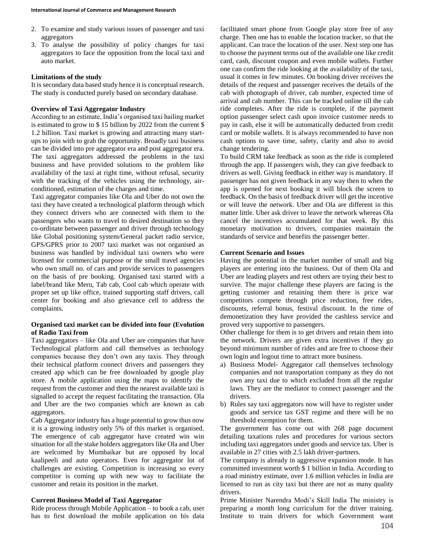- 2. To examine and study various issues of passenger and taxi aggregators
- 3. To analyse the possibility of policy changes for taxi aggregators to face the opposition from the local taxi and auto market.

#### **Limitations of the study**

It is secondary data based study hence it is conceptual research. The study is conducted purely based on secondary database.

# **Overview of Taxi Aggregator Industry**

According to an estimate, India's organised taxi hailing market is estimated to grow to \$ 15 billion by 2022 from the current \$ 1.2 billion. Taxi market is growing and attracting many startups to join with to grab the opportunity. Broadly taxi business can be divided into pre aggregator era and post aggregator era. The taxi aggregators addressed the problems in the taxi business and have provided solutions to the problem like availability of the taxi at right time, without refusal, security with the tracking of the vehicles using the technology, airconditioned, estimation of the charges and time.

Taxi aggregator companies like Ola and Uber do not own the taxi they have created a technological platform through which they connect drivers who are connected with them to the passengers who wants to travel to desired destination so they co-ordinate between passenger and driver through technology like Global positioning system/General packet radio service, GPS/GPRS prior to 2007 taxi market was not organised as business was handled by individual taxi owners who were licensed for commercial purpose or the small travel agencies who own small no. of cars and provide services to passengers on the basis of pre booking. Organised taxi started with a label/brand like Meru, Tab cab, Cool cab which operate with proper set up like office, trained supporting staff drivers, call center for booking and also grievance cell to address the complaints.

## **Organised taxi market can be divided into four (Evolution of Radio Taxi from**

Taxi aggregators – like Ola and Uber are companies that have Technological platform and call themselves as technology companies because they don't own any taxis. They through their technical platform connect drivers and passengers they created app which can be free downloaded by google play store. A mobile application using the maps to identify the request from the customer and then the nearest available taxi is signalled to accept the request facilitating the transaction. Ola and Uber are the two companies which are known as cab aggregators.

Cab Aggregator industry has a huge potential to grow thus now it is a growing industry only 5% of this market is organised. The emergence of cab aggregator have created win win situation for all the stake holders aggregators like Ola and Uber are welcomed by Mumbaikar but are opposed by local kaalipeeli and auto operators. Even for aggregator lot of challenges are existing. Competition is increasing so every competitor is coming up with new way to facilitate the customer and retain its position in the market.

### **Current Business Model of Taxi Aggregator**

Ride process through Mobile Application – to book a cab, user has to first download the mobile application on his data facilitated smart phone from Google play store free of any charge. Then one has to enable the location tracker, so that the applicant. Can trace the location of the user. Next step one has to choose the payment terms out of the available one like credit card, cash, discount coupon and even mobile wallets. Further one can confirm the ride looking at the availability of the taxi, usual it comes in few minutes. On booking driver receives the details of the request and passenger receives the details of the cab with photograph of driver, cab number, expected time of arrival and cab number. This can be tracked online till the cab ride completes. After the ride is complete, if the payment option passenger select cash upon invoice customer needs to pay in cash, else it will be automatically deducted from credit card or mobile wallets. It is always recommended to have non cash options to save time, safety, clarity and also to avoid change tendering.

To build CRM take feedback as soon as the ride is completed through the app. If passengers wish, they can give feedback to drivers as well. Giving feedback in either way is mandatory. If passenger has not given feedback in any way then to when the app is opened for next booking it will block the screen to feedback. On the basis of feedback driver will get the incentive or will leave the network. Uber and Ola are different in this matter little. Uber ask driver to leave the network whereas Ola cancel the incentives accumulated for that week. By this monetary motivation to drivers, companies maintain the standards of service and benefits the passenger better.

## **Current Scenario and Issues**

Having the potential in the market number of small and big players are entering into the business. Out of them Ola and Uber are leading players and rest others are trying their best to survive. The major challenge these players are facing is the getting customer and retaining them there is price war competitors compete through price reduction, free rides, discounts, referral bonus, festival discount. In the time of demonetization they have provided the cashless service and proved very supportive to passengers.

Other challenge for them is to get drivers and retain them into the network. Drivers are given extra incentives if they go beyond minimum number of rides and are free to choose their own login and logout time to attract more business.

- a) Business Model- Aggregator call themselves technology companies and not transportation company as they do not own any taxi due to which excluded from all the regular laws. They are the mediator to connect passenger and the drivers.
- b) Rules say taxi aggregators now will have to register under goods and service tax GST regime and there will be no threshold exemption for them.

The government has come out with 268 page document detailing taxations rules and procedures for various sectors including taxi aggregators under goods and service tax. Uber is available in 27 cities with 2.5 lakh driver-partners.

The company is already in aggressive expansion mode. It has committed investment worth \$ 1 billion in India. According to a road ministry estimate, over 1.6 million vehicles in India are licensed to run as city taxi but there are not as many quality drivers.

Prime Minister Narendra Modi's Skill India The ministry is preparing a month long curriculum for the driver training. Institute to train drivers for which Government want